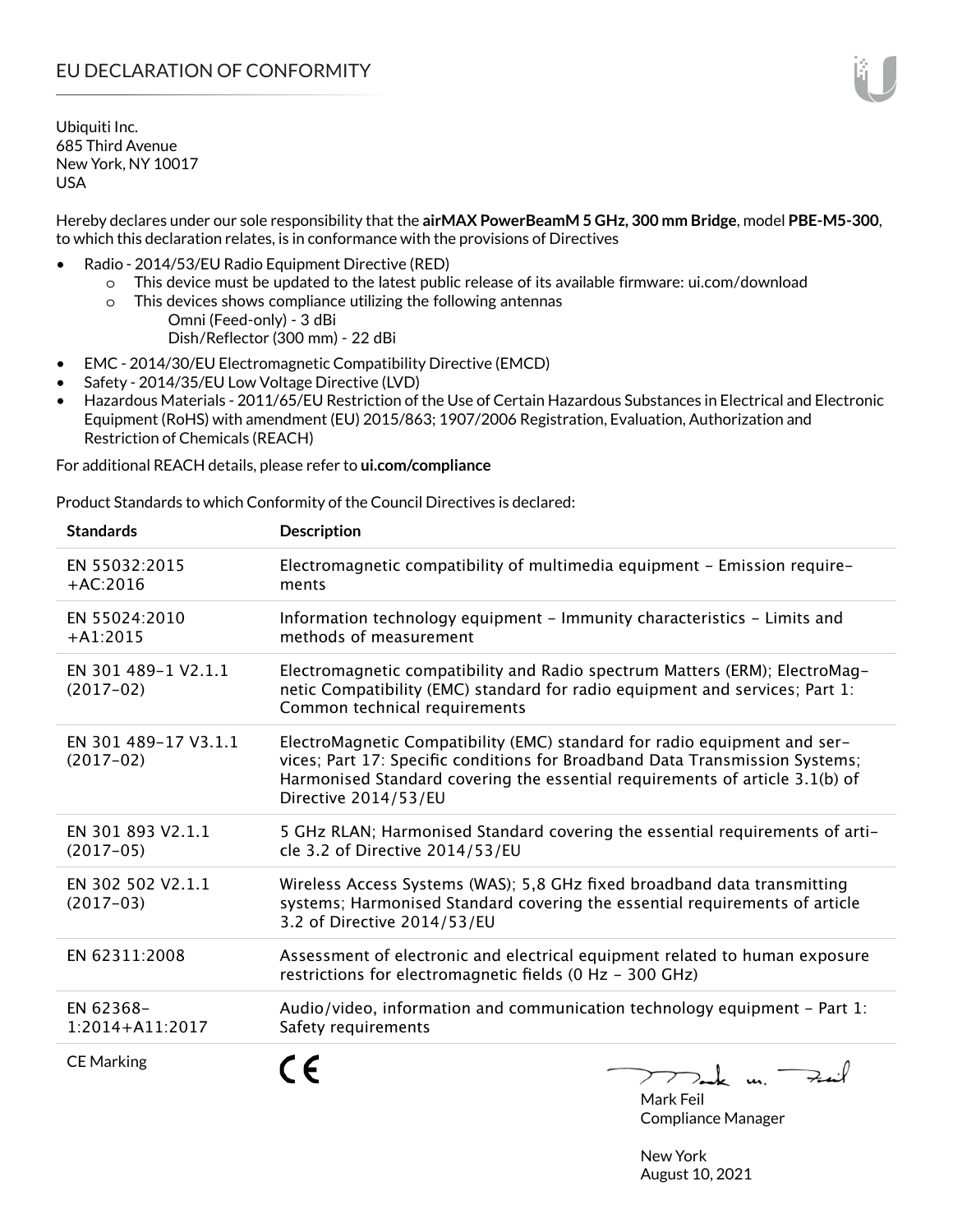Hereby declares under our sole responsibility that the **airMAX PowerBeamM 5 GHz, 300 mm Bridge**, model **PBE-M5-300**, to which this declaration relates, is in conformance with the provisions of Directives

- Radio 2014/53/EU Radio Equipment Directive (RED)
	- o This device must be updated to the latest public release of its available firmware: ui.com/download
	- o This devices shows compliance utilizing the following antennas Omni (Feed-only) - 3 dBi Dish/Reflector (300 mm) - 22 dBi
- EMC 2014/30/EU Electromagnetic Compatibility Directive (EMCD)
- Safety 2014/35/EU Low Voltage Directive (LVD)
- Hazardous Materials 2011/65/EU Restriction of the Use of Certain Hazardous Substances in Electrical and Electronic Equipment (RoHS) with amendment (EU) 2015/863; 1907/2006 Registration, Evaluation, Authorization and Restriction of Chemicals (REACH)

For additional REACH details, please refer to **ui.com/compliance**

Product Standards to which Conformity of the Council Directives is declared:

| <b>Standards</b>                    | <b>Description</b>                                                                                                                                                                                                                                                |
|-------------------------------------|-------------------------------------------------------------------------------------------------------------------------------------------------------------------------------------------------------------------------------------------------------------------|
| EN 55032:2015<br>$+AC:2016$         | Electromagnetic compatibility of multimedia equipment - Emission require-<br>ments                                                                                                                                                                                |
| EN 55024:2010<br>$+A1:2015$         | Information technology equipment - Immunity characteristics - Limits and<br>methods of measurement                                                                                                                                                                |
| EN 301 489-1 V2.1.1<br>$(2017-02)$  | Electromagnetic compatibility and Radio spectrum Matters (ERM); ElectroMag-<br>netic Compatibility (EMC) standard for radio equipment and services; Part 1:<br>Common technical requirements                                                                      |
| EN 301 489-17 V3.1.1<br>$(2017-02)$ | ElectroMagnetic Compatibility (EMC) standard for radio equipment and ser-<br>vices; Part 17: Specific conditions for Broadband Data Transmission Systems;<br>Harmonised Standard covering the essential requirements of article 3.1(b) of<br>Directive 2014/53/EU |
| EN 301 893 V2.1.1<br>$(2017-05)$    | 5 GHz RLAN; Harmonised Standard covering the essential requirements of arti-<br>cle 3.2 of Directive 2014/53/EU                                                                                                                                                   |
| EN 302 502 V2.1.1<br>$(2017-03)$    | Wireless Access Systems (WAS); 5,8 GHz fixed broadband data transmitting<br>systems; Harmonised Standard covering the essential requirements of article<br>3.2 of Directive 2014/53/EU                                                                            |
| EN 62311:2008                       | Assessment of electronic and electrical equipment related to human exposure<br>restrictions for electromagnetic fields (0 Hz - 300 GHz)                                                                                                                           |
| EN 62368-<br>1:2014+A11:2017        | Audio/video, information and communication technology equipment - Part 1:<br>Safety requirements                                                                                                                                                                  |
| <b>CE Marking</b>                   | TTak m. Fail<br><b>M I C II</b>                                                                                                                                                                                                                                   |

Mark Feil Compliance Manager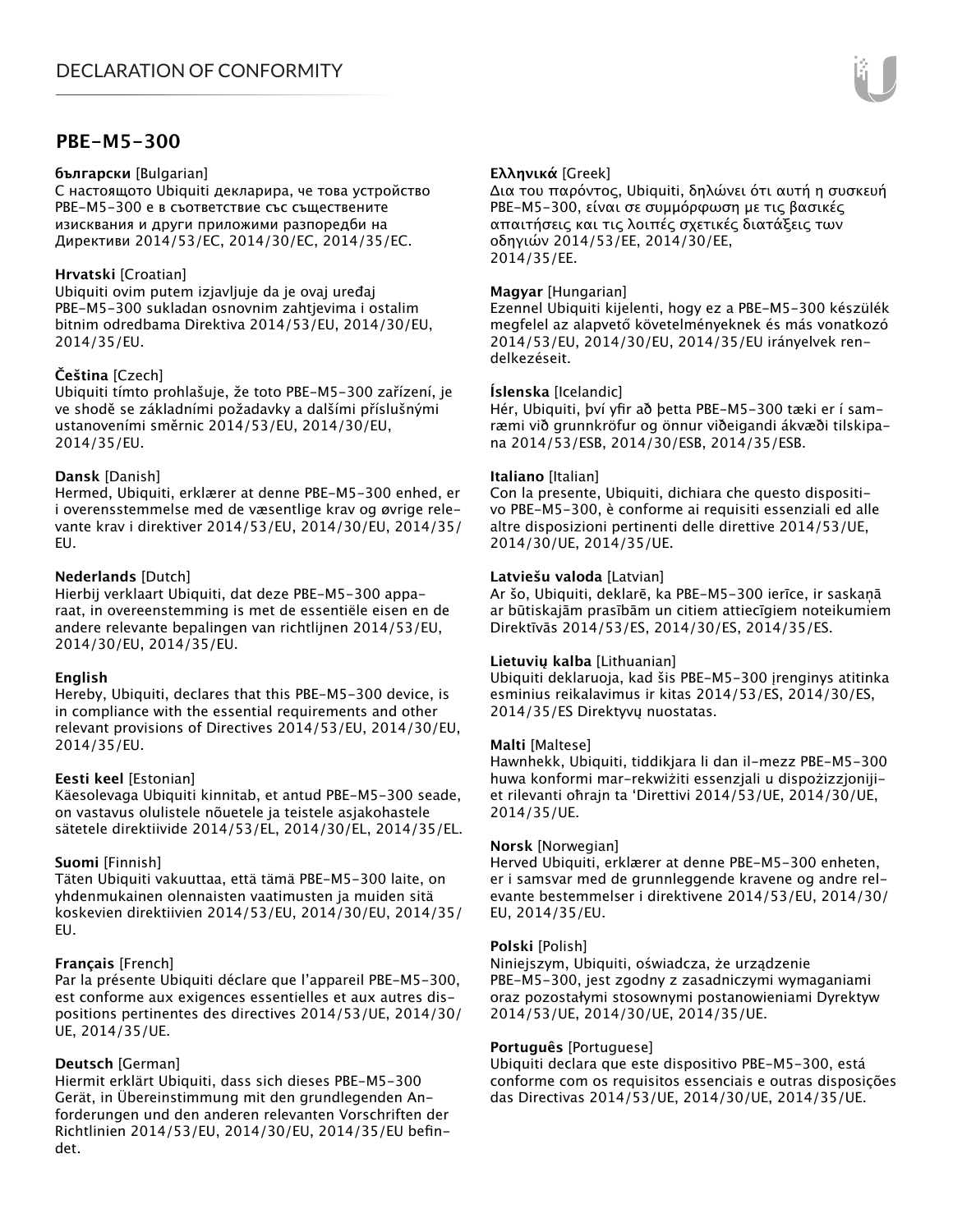## **PBE-M5-300**

#### **български** [Bulgarian]

С настоящото Ubiquiti декларира, че това устройство PBE-M5-300 е в съответствие със съществените изисквания и други приложими разпоредби на Директиви 2014/53/EC, 2014/30/ЕС, 2014/35/ЕС.

## **Hrvatski** [Croatian]

Ubiquiti ovim putem izjavljuje da je ovaj uređaj PBE-M5-300 sukladan osnovnim zahtjevima i ostalim bitnim odredbama Direktiva 2014/53/EU, 2014/30/EU, 2014/35/EU.

## **Čeština** [Czech]

Ubiquiti tímto prohlašuje, že toto PBE-M5-300 zařízení, je ve shodě se základními požadavky a dalšími příslušnými ustanoveními směrnic 2014/53/EU, 2014/30/EU, 2014/35/EU.

## **Dansk** [Danish]

Hermed, Ubiquiti, erklærer at denne PBE-M5-300 enhed, er i overensstemmelse med de væsentlige krav og øvrige relevante krav i direktiver 2014/53/EU, 2014/30/EU, 2014/35/ EU.

## **Nederlands** [Dutch]

Hierbij verklaart Ubiquiti, dat deze PBE-M5-300 apparaat, in overeenstemming is met de essentiële eisen en de andere relevante bepalingen van richtlijnen 2014/53/EU, 2014/30/EU, 2014/35/EU.

## **English**

Hereby, Ubiquiti, declares that this PBE-M5-300 device, is in compliance with the essential requirements and other relevant provisions of Directives 2014/53/EU, 2014/30/EU, 2014/35/EU.

## **Eesti keel** [Estonian]

Käesolevaga Ubiquiti kinnitab, et antud PBE-M5-300 seade, on vastavus olulistele nõuetele ja teistele asjakohastele sätetele direktiivide 2014/53/EL, 2014/30/EL, 2014/35/EL.

## **Suomi** [Finnish]

Täten Ubiquiti vakuuttaa, että tämä PBE-M5-300 laite, on yhdenmukainen olennaisten vaatimusten ja muiden sitä koskevien direktiivien 2014/53/EU, 2014/30/EU, 2014/35/ EU.

## **Français** [French]

Par la présente Ubiquiti déclare que l'appareil PBE-M5-300, est conforme aux exigences essentielles et aux autres dispositions pertinentes des directives 2014/53/UE, 2014/30/ UE, 2014/35/UE.

## **Deutsch** [German]

Hiermit erklärt Ubiquiti, dass sich dieses PBE-M5-300 Gerät, in Übereinstimmung mit den grundlegenden Anforderungen und den anderen relevanten Vorschriften der Richtlinien 2014/53/EU, 2014/30/EU, 2014/35/EU befindet.

## **Ελληνικά** [Greek]

Δια του παρόντος, Ubiquiti, δηλώνει ότι αυτή η συσκευή PBE-M5-300, είναι σε συμμόρφωση με τις βασικές απαιτήσεις και τις λοιπές σχετικές διατάξεις των οδηγιών 2014/53/EE, 2014/30/EE, 2014/35/EE.

#### **Magyar** [Hungarian]

Ezennel Ubiquiti kijelenti, hogy ez a PBE-M5-300 készülék megfelel az alapvető követelményeknek és más vonatkozó 2014/53/EU, 2014/30/EU, 2014/35/EU irányelvek rendelkezéseit.

#### **Íslenska** [Icelandic]

Hér, Ubiquiti, því yfir að þetta PBE-M5-300 tæki er í samræmi við grunnkröfur og önnur viðeigandi ákvæði tilskipana 2014/53/ESB, 2014/30/ESB, 2014/35/ESB.

#### **Italiano** [Italian]

Con la presente, Ubiquiti, dichiara che questo dispositivo PBE-M5-300, è conforme ai requisiti essenziali ed alle altre disposizioni pertinenti delle direttive 2014/53/UE, 2014/30/UE, 2014/35/UE.

#### **Latviešu valoda** [Latvian]

Ar šo, Ubiquiti, deklarē, ka PBE-M5-300 ierīce, ir saskaņā ar būtiskajām prasībām un citiem attiecīgiem noteikumiem Direktīvās 2014/53/ES, 2014/30/ES, 2014/35/ES.

#### **Lietuvių kalba** [Lithuanian]

Ubiquiti deklaruoja, kad šis PBE-M5-300 įrenginys atitinka esminius reikalavimus ir kitas 2014/53/ES, 2014/30/ES, 2014/35/ES Direktyvų nuostatas.

## **Malti** [Maltese]

Hawnhekk, Ubiquiti, tiddikjara li dan il-mezz PBE-M5-300 huwa konformi mar-rekwiżiti essenzjali u dispożizzjonijiet rilevanti oħrajn ta 'Direttivi 2014/53/UE, 2014/30/UE, 2014/35/UE.

#### **Norsk** [Norwegian]

Herved Ubiquiti, erklærer at denne PBE-M5-300 enheten, er i samsvar med de grunnleggende kravene og andre relevante bestemmelser i direktivene 2014/53/EU, 2014/30/ EU, 2014/35/EU.

#### **Polski** [Polish]

Niniejszym, Ubiquiti, oświadcza, że urządzenie PBE-M5-300, jest zgodny z zasadniczymi wymaganiami oraz pozostałymi stosownymi postanowieniami Dyrektyw 2014/53/UE, 2014/30/UE, 2014/35/UE.

## **Português** [Portuguese]

Ubiquiti declara que este dispositivo PBE-M5-300, está conforme com os requisitos essenciais e outras disposições das Directivas 2014/53/UE, 2014/30/UE, 2014/35/UE.

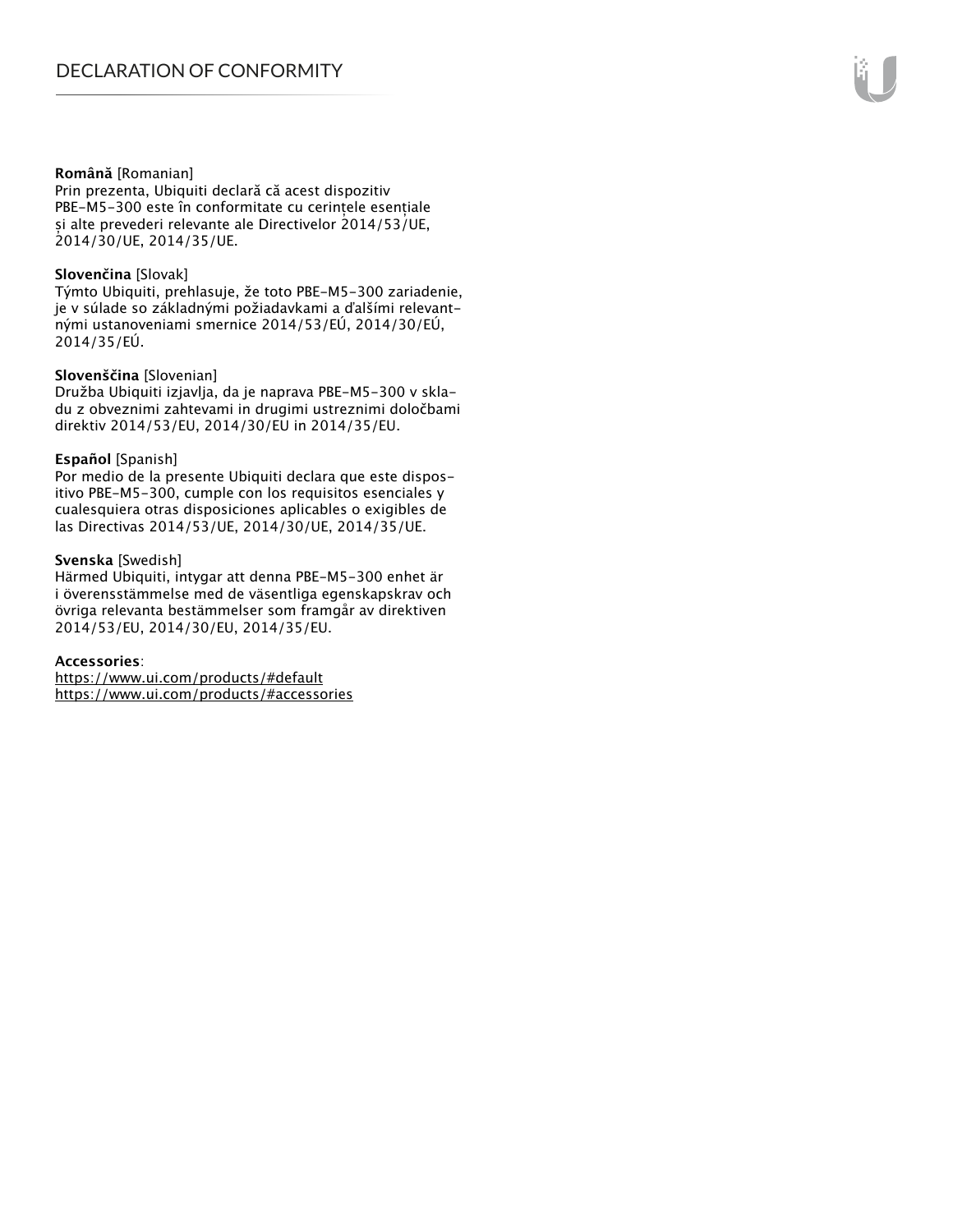#### **Română** [Romanian]

Prin prezenta, Ubiquiti declară că acest dispozitiv PBE-M5-300 este în conformitate cu cerințele esențiale și alte prevederi relevante ale Directivelor 2014/53/UE, 2014/30/UE, 2014/35/UE.

#### **Slovenčina** [Slovak]

Týmto Ubiquiti, prehlasuje, že toto PBE-M5-300 zariadenie, je v súlade so základnými požiadavkami a ďalšími relevantnými ustanoveniami smernice 2014/53/EÚ, 2014/30/EÚ, 2014/35/EÚ.

#### **Slovenščina** [Slovenian]

Družba Ubiquiti izjavlja, da je naprava PBE-M5-300 v skladu z obveznimi zahtevami in drugimi ustreznimi določbami direktiv 2014/53/EU, 2014/30/EU in 2014/35/EU.

#### **Español** [Spanish]

Por medio de la presente Ubiquiti declara que este dispositivo PBE-M5-300, cumple con los requisitos esenciales y cualesquiera otras disposiciones aplicables o exigibles de las Directivas 2014/53/UE, 2014/30/UE, 2014/35/UE.

#### **Svenska** [Swedish]

Härmed Ubiquiti, intygar att denna PBE-M5-300 enhet är i överensstämmelse med de väsentliga egenskapskrav och övriga relevanta bestämmelser som framgår av direktiven 2014/53/EU, 2014/30/EU, 2014/35/EU.

#### **Accessories**:

https://www.ui.com/products/#default https://www.ui.com/products/#accessories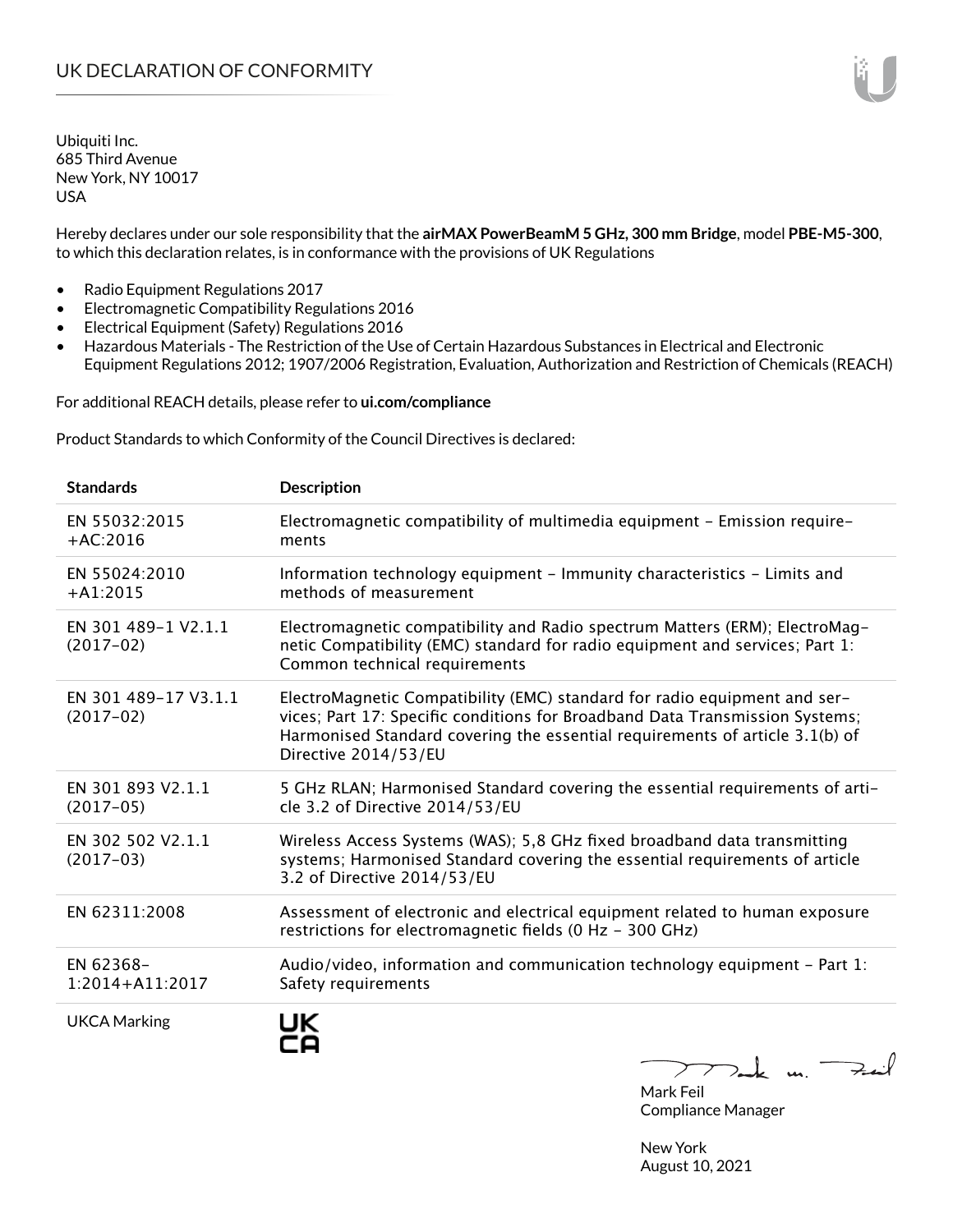Hereby declares under our sole responsibility that the **airMAX PowerBeamM 5 GHz, 300 mm Bridge**, model **PBE-M5-300**, to which this declaration relates, is in conformance with the provisions of UK Regulations

- Radio Equipment Regulations 2017
- Electromagnetic Compatibility Regulations 2016
- Electrical Equipment (Safety) Regulations 2016
- Hazardous Materials The Restriction of the Use of Certain Hazardous Substances in Electrical and Electronic Equipment Regulations 2012; 1907/2006 Registration, Evaluation, Authorization and Restriction of Chemicals (REACH)

For additional REACH details, please refer to **ui.com/compliance**

Product Standards to which Conformity of the Council Directives is declared:

| <b>Standards</b>                    | <b>Description</b>                                                                                                                                                                                                                                                |
|-------------------------------------|-------------------------------------------------------------------------------------------------------------------------------------------------------------------------------------------------------------------------------------------------------------------|
| EN 55032:2015<br>$+AC:2016$         | Electromagnetic compatibility of multimedia equipment - Emission require-<br>ments                                                                                                                                                                                |
| EN 55024:2010<br>$+A1:2015$         | Information technology equipment - Immunity characteristics - Limits and<br>methods of measurement                                                                                                                                                                |
| EN 301 489-1 V2.1.1<br>$(2017-02)$  | Electromagnetic compatibility and Radio spectrum Matters (ERM); ElectroMag-<br>netic Compatibility (EMC) standard for radio equipment and services; Part 1:<br>Common technical requirements                                                                      |
| EN 301 489-17 V3.1.1<br>$(2017-02)$ | ElectroMagnetic Compatibility (EMC) standard for radio equipment and ser-<br>vices; Part 17: Specific conditions for Broadband Data Transmission Systems;<br>Harmonised Standard covering the essential requirements of article 3.1(b) of<br>Directive 2014/53/EU |
| EN 301 893 V2.1.1<br>$(2017-05)$    | 5 GHz RLAN; Harmonised Standard covering the essential requirements of arti-<br>cle 3.2 of Directive 2014/53/EU                                                                                                                                                   |
| EN 302 502 V2.1.1<br>$(2017-03)$    | Wireless Access Systems (WAS); 5,8 GHz fixed broadband data transmitting<br>systems; Harmonised Standard covering the essential requirements of article<br>3.2 of Directive 2014/53/EU                                                                            |
| EN 62311:2008                       | Assessment of electronic and electrical equipment related to human exposure<br>restrictions for electromagnetic fields (0 Hz - 300 GHz)                                                                                                                           |
| EN 62368-<br>1:2014+A11:2017        | Audio/video, information and communication technology equipment $-$ Part 1:<br>Safety requirements                                                                                                                                                                |
| <b>UKCA Marking</b>                 | UK<br>$T$ and $\kappa$ un.                                                                                                                                                                                                                                        |

Mark Feil Compliance Manager

New York August 10, 2021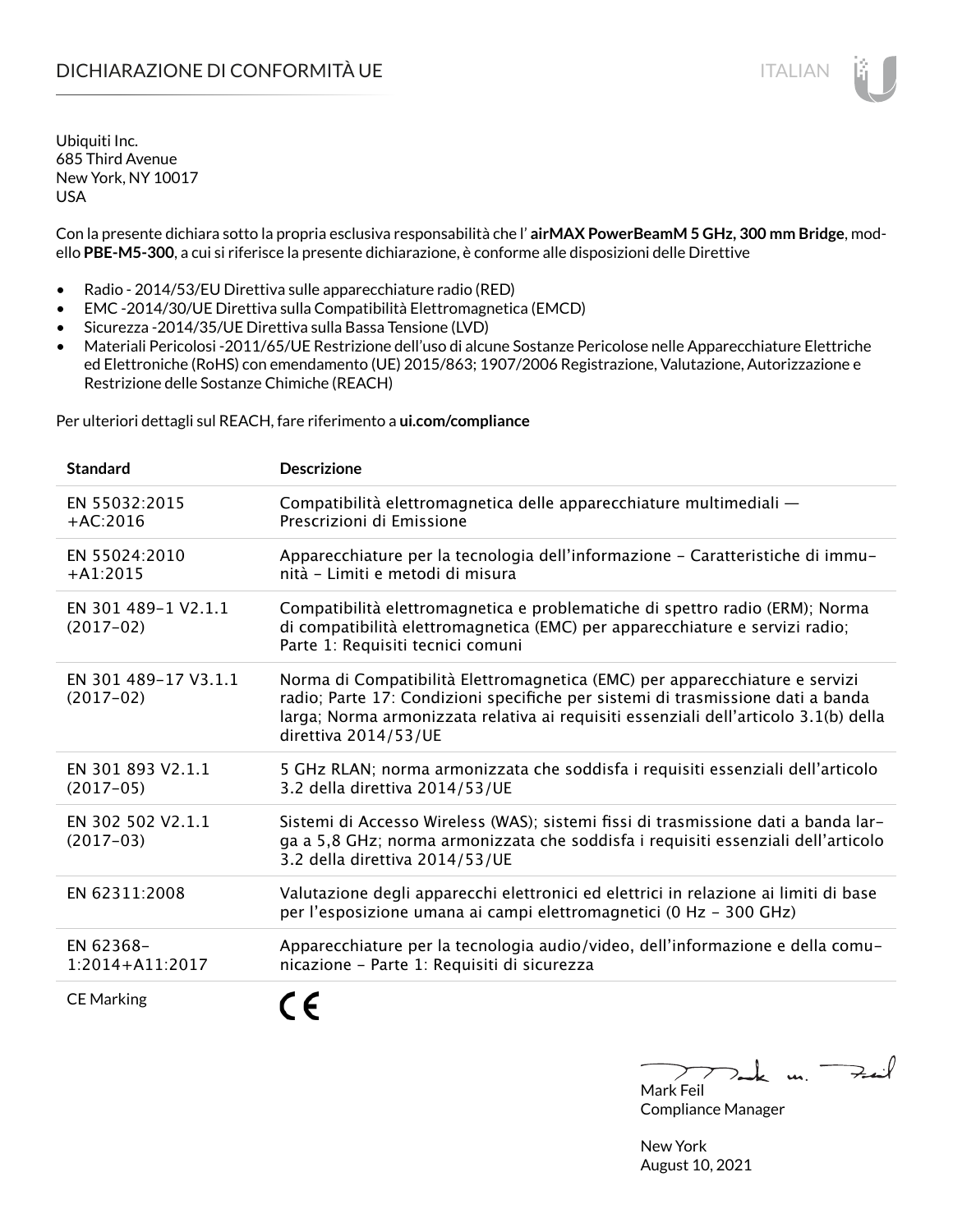## DICHIARAZIONE DI CONFORMITÀ UE ITALIAN ITALIAN

Ubiquiti Inc. 685 Third Avenue New York, NY 10017 USA

Con la presente dichiara sotto la propria esclusiva responsabilità che l' **airMAX PowerBeamM 5 GHz, 300 mm Bridge**, modello **PBE-M5-300**, a cui si riferisce la presente dichiarazione, è conforme alle disposizioni delle Direttive

- Radio 2014/53/EU Direttiva sulle apparecchiature radio (RED)
- EMC -2014/30/UE Direttiva sulla Compatibilità Elettromagnetica (EMCD)
- Sicurezza -2014/35/UE Direttiva sulla Bassa Tensione (LVD)
- Materiali Pericolosi -2011/65/UE Restrizione dell'uso di alcune Sostanze Pericolose nelle Apparecchiature Elettriche ed Elettroniche (RoHS) con emendamento (UE) 2015/863; 1907/2006 Registrazione, Valutazione, Autorizzazione e Restrizione delle Sostanze Chimiche (REACH)

Per ulteriori dettagli sul REACH, fare riferimento a **ui.com/compliance**

| <b>Standard</b>                     | <b>Descrizione</b>                                                                                                                                                                                                                                                             |
|-------------------------------------|--------------------------------------------------------------------------------------------------------------------------------------------------------------------------------------------------------------------------------------------------------------------------------|
| EN 55032:2015<br>$+AC:2016$         | Compatibilità elettromagnetica delle apparecchiature multimediali -<br>Prescrizioni di Emissione                                                                                                                                                                               |
| EN 55024:2010<br>$+A1:2015$         | Apparecchiature per la tecnologia dell'informazione - Caratteristiche di immu-<br>nità - Limiti e metodi di misura                                                                                                                                                             |
| EN 301 489-1 V2.1.1<br>$(2017-02)$  | Compatibilità elettromagnetica e problematiche di spettro radio (ERM); Norma<br>di compatibilità elettromagnetica (EMC) per apparecchiature e servizi radio;<br>Parte 1: Requisiti tecnici comuni                                                                              |
| EN 301 489-17 V3.1.1<br>$(2017-02)$ | Norma di Compatibilità Elettromagnetica (EMC) per apparecchiature e servizi<br>radio; Parte 17: Condizioni specifiche per sistemi di trasmissione dati a banda<br>larga; Norma armonizzata relativa ai requisiti essenziali dell'articolo 3.1(b) della<br>direttiva 2014/53/UE |
| EN 301 893 V2.1.1<br>$(2017-05)$    | 5 GHz RLAN; norma armonizzata che soddisfa i requisiti essenziali dell'articolo<br>3.2 della direttiva 2014/53/UE                                                                                                                                                              |
| EN 302 502 V2.1.1<br>$(2017-03)$    | Sistemi di Accesso Wireless (WAS); sistemi fissi di trasmissione dati a banda lar-<br>ga a 5,8 GHz; norma armonizzata che soddisfa i requisiti essenziali dell'articolo<br>3.2 della direttiva 2014/53/UE                                                                      |
| EN 62311:2008                       | Valutazione degli apparecchi elettronici ed elettrici in relazione ai limiti di base<br>per l'esposizione umana ai campi elettromagnetici (0 Hz - 300 GHz)                                                                                                                     |
| EN 62368-<br>$1:2014 + A11:2017$    | Apparecchiature per la tecnologia audio/video, dell'informazione e della comu-<br>nicazione - Parte 1: Requisiti di sicurezza                                                                                                                                                  |
| <b>CE Marking</b>                   |                                                                                                                                                                                                                                                                                |

 $k$  un  $\rightarrow$ Mark Feil

Compliance Manager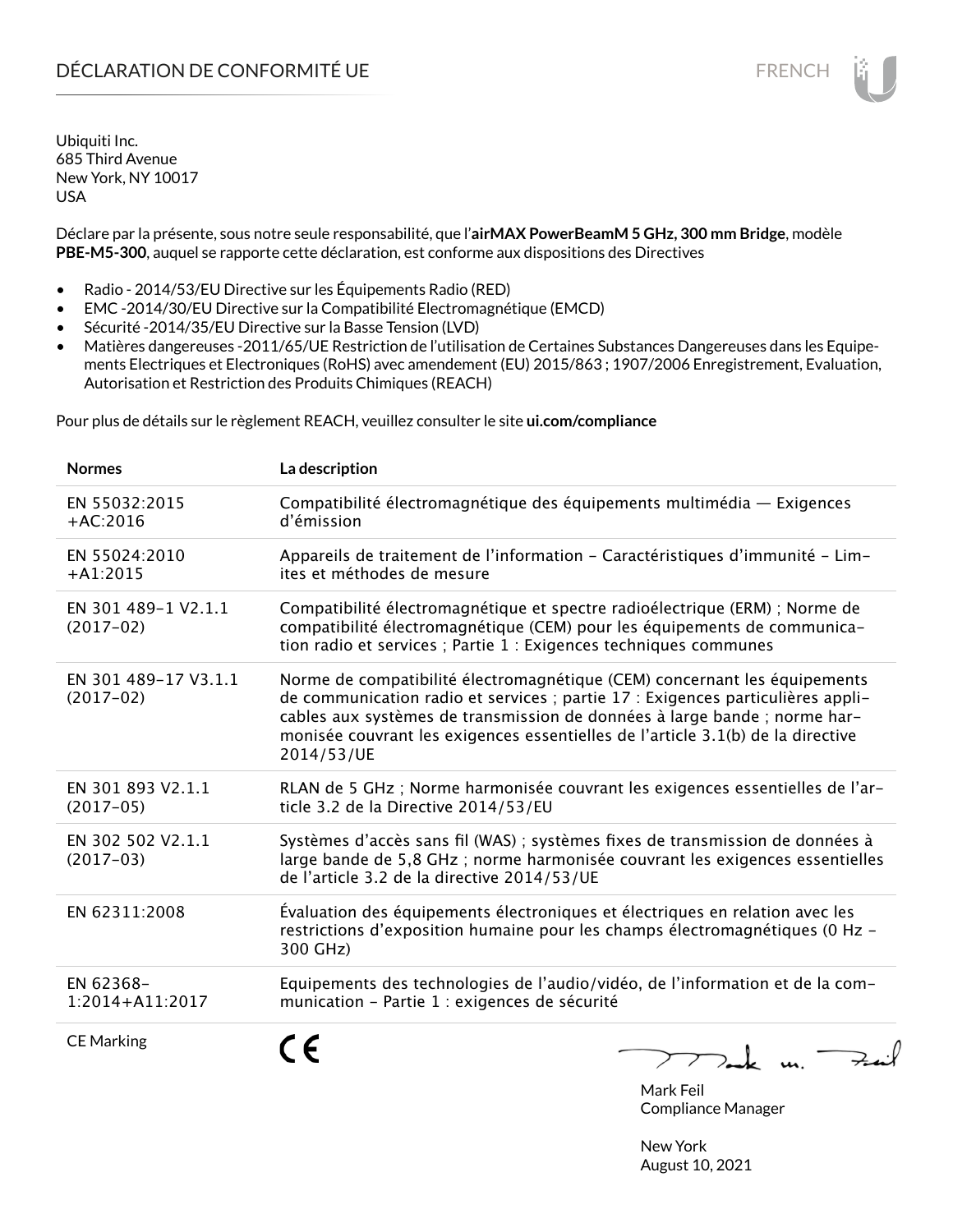Déclare par la présente, sous notre seule responsabilité, que l'**airMAX PowerBeamM 5 GHz, 300 mm Bridge**, modèle **PBE-M5-300**, auquel se rapporte cette déclaration, est conforme aux dispositions des Directives

- Radio 2014/53/EU Directive sur les Équipements Radio (RED)
- EMC -2014/30/EU Directive sur la Compatibilité Electromagnétique (EMCD)
- Sécurité -2014/35/EU Directive sur la Basse Tension (LVD)
- Matières dangereuses -2011/65/UE Restriction de l'utilisation de Certaines Substances Dangereuses dans les Equipements Electriques et Electroniques (RoHS) avec amendement (EU) 2015/863 ; 1907/2006 Enregistrement, Evaluation, Autorisation et Restriction des Produits Chimiques (REACH)

Pour plus de détails sur le règlement REACH, veuillez consulter le site **ui.com/compliance**

| <b>Normes</b>                       | La description                                                                                                                                                                                                                                                                                                                             |
|-------------------------------------|--------------------------------------------------------------------------------------------------------------------------------------------------------------------------------------------------------------------------------------------------------------------------------------------------------------------------------------------|
| EN 55032:2015<br>$+AC:2016$         | Compatibilité électromagnétique des équipements multimédia — Exigences<br>d'émission                                                                                                                                                                                                                                                       |
| EN 55024:2010<br>$+A1:2015$         | Appareils de traitement de l'information - Caractéristiques d'immunité - Lim-<br>ites et méthodes de mesure                                                                                                                                                                                                                                |
| EN 301 489-1 V2.1.1<br>$(2017-02)$  | Compatibilité électromagnétique et spectre radioélectrique (ERM) ; Norme de<br>compatibilité électromagnétique (CEM) pour les équipements de communica-<br>tion radio et services ; Partie 1 : Exigences techniques communes                                                                                                               |
| EN 301 489-17 V3.1.1<br>$(2017-02)$ | Norme de compatibilité électromagnétique (CEM) concernant les équipements<br>de communication radio et services ; partie 17 : Exigences particulières appli-<br>cables aux systèmes de transmission de données à large bande ; norme har-<br>monisée couvrant les exigences essentielles de l'article 3.1(b) de la directive<br>2014/53/UE |
| EN 301 893 V2.1.1<br>$(2017-05)$    | RLAN de 5 GHz ; Norme harmonisée couvrant les exigences essentielles de l'ar-<br>ticle 3.2 de la Directive 2014/53/EU                                                                                                                                                                                                                      |
| EN 302 502 V2.1.1<br>$(2017-03)$    | Systèmes d'accès sans fil (WAS) ; systèmes fixes de transmission de données à<br>large bande de 5,8 GHz ; norme harmonisée couvrant les exigences essentielles<br>de l'article 3.2 de la directive 2014/53/UE                                                                                                                              |
| EN 62311:2008                       | Évaluation des équipements électroniques et électriques en relation avec les<br>restrictions d'exposition humaine pour les champs électromagnétiques (0 Hz -<br>300 GHz)                                                                                                                                                                   |
| EN 62368-<br>1:2014+A11:2017        | Equipements des technologies de l'audio/vidéo, de l'information et de la com-<br>munication - Partie 1 : exigences de sécurité                                                                                                                                                                                                             |
| <b>CE Marking</b>                   |                                                                                                                                                                                                                                                                                                                                            |

Mark Feil Compliance Manager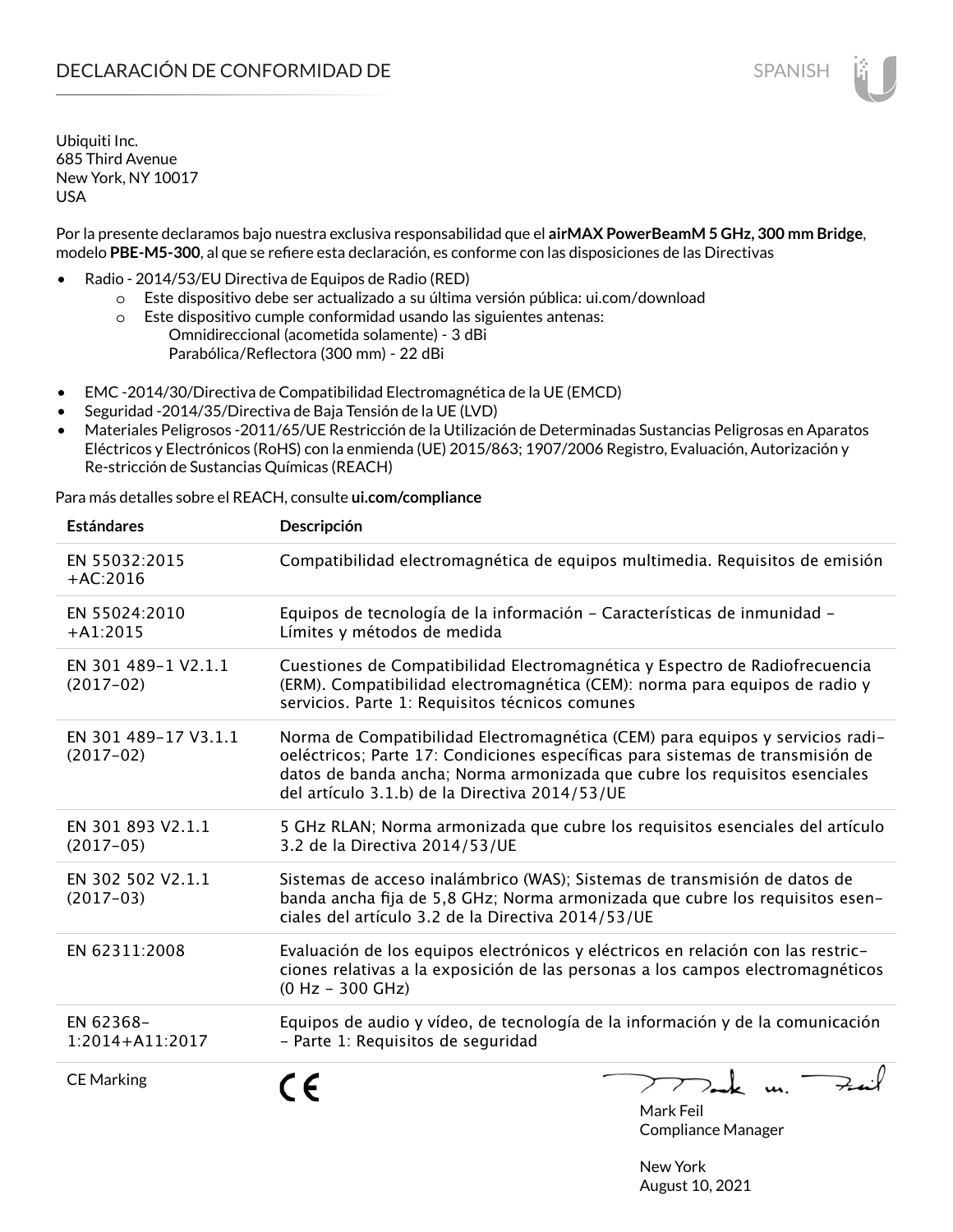Por la presente declaramos bajo nuestra exclusiva responsabilidad que el **airMAX PowerBeamM 5 GHz, 300 mm Bridge**, modelo **PBE-M5-300**, al que se refiere esta declaración, es conforme con las disposiciones de las Directivas

- Radio 2014/53/EU Directiva de Equipos de Radio (RED)
	- o Este dispositivo debe ser actualizado a su última versión pública: ui.com/download
	- o Este dispositivo cumple conformidad usando las siguientes antenas: Omnidireccional (acometida solamente) - 3 dBi Parabólica/Reflectora (300 mm) - 22 dBi
- EMC -2014/30/Directiva de Compatibilidad Electromagnética de la UE (EMCD)
- Seguridad -2014/35/Directiva de Baja Tensión de la UE (LVD)
- Materiales Peligrosos -2011/65/UE Restricción de la Utilización de Determinadas Sustancias Peligrosas en Aparatos Eléctricos y Electrónicos (RoHS) con la enmienda (UE) 2015/863; 1907/2006 Registro, Evaluación, Autorización y Re-stricción de Sustancias Químicas (REACH)

Para más detalles sobre el REACH, consulte **ui.com/compliance**

| <b>Estándares</b>                   | Descripción                                                                                                                                                                                                                                                                                     |                                        |
|-------------------------------------|-------------------------------------------------------------------------------------------------------------------------------------------------------------------------------------------------------------------------------------------------------------------------------------------------|----------------------------------------|
| EN 55032:2015<br>$+AC:2016$         | Compatibilidad electromagnética de equipos multimedia. Requisitos de emisión                                                                                                                                                                                                                    |                                        |
| EN 55024:2010<br>$+A1:2015$         | Equipos de tecnología de la información - Características de inmunidad -<br>Límites y métodos de medida                                                                                                                                                                                         |                                        |
| EN 301 489-1 V2.1.1<br>$(2017-02)$  | Cuestiones de Compatibilidad Electromagnética y Espectro de Radiofrecuencia<br>(ERM). Compatibilidad electromagnética (CEM): norma para equipos de radio y<br>servicios. Parte 1: Requisitos técnicos comunes                                                                                   |                                        |
| EN 301 489-17 V3.1.1<br>$(2017-02)$ | Norma de Compatibilidad Electromagnética (CEM) para equipos y servicios radi-<br>oeléctricos; Parte 17: Condiciones específicas para sistemas de transmisión de<br>datos de banda ancha; Norma armonizada que cubre los requisitos esenciales<br>del artículo 3.1.b) de la Directiva 2014/53/UE |                                        |
| EN 301 893 V2.1.1<br>$(2017-05)$    | 5 GHz RLAN; Norma armonizada que cubre los requisitos esenciales del artículo<br>3.2 de la Directiva 2014/53/UE                                                                                                                                                                                 |                                        |
| EN 302 502 V2.1.1<br>$(2017-03)$    | Sistemas de acceso inalámbrico (WAS); Sistemas de transmisión de datos de<br>banda ancha fija de 5,8 GHz; Norma armonizada que cubre los requisitos esen-<br>ciales del artículo 3.2 de la Directiva 2014/53/UE                                                                                 |                                        |
| EN 62311:2008                       | Evaluación de los equipos electrónicos y eléctricos en relación con las restric-<br>ciones relativas a la exposición de las personas a los campos electromagnéticos<br>$(0 Hz - 300 GHz)$                                                                                                       |                                        |
| EN 62368-<br>1:2014+A11:2017        | Equipos de audio y vídeo, de tecnología de la información y de la comunicación<br>- Parte 1: Requisitos de seguridad                                                                                                                                                                            |                                        |
| <b>CE Marking</b>                   | C E                                                                                                                                                                                                                                                                                             | Mark Feil<br><b>Compliance Manager</b> |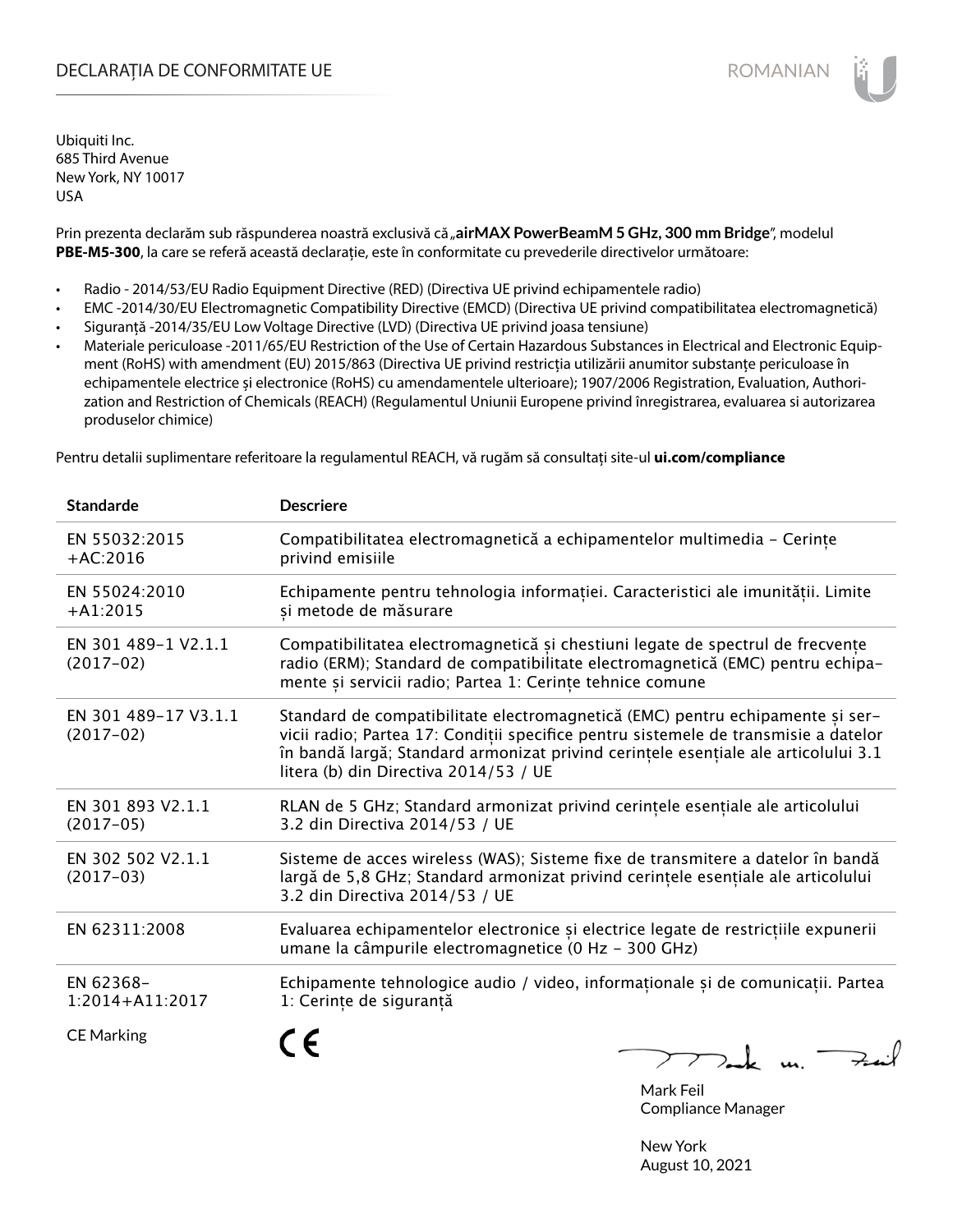## DECLARAȚIA DE CONFORMITATE UE EXECUTE DE ROMANIAN

Ubiquiti Inc. 685 Third Avenue New York, NY 10017 USA

Prin prezenta declarăm sub răspunderea noastră exclusivă că "airMAX PowerBeamM 5 GHz, 300 mm Bridge", modelul **PBE-M5-300**, la care se referă această declarație, este în conformitate cu prevederile directivelor următoare:

- Radio 2014/53/EU Radio Equipment Directive (RED) (Directiva UE privind echipamentele radio)
- EMC -2014/30/EU Electromagnetic Compatibility Directive (EMCD) (Directiva UE privind compatibilitatea electromagnetică)
- Siguranță -2014/35/EU Low Voltage Directive (LVD) (Directiva UE privind joasa tensiune)
- Materiale periculoase -2011/65/EU Restriction of the Use of Certain Hazardous Substances in Electrical and Electronic Equipment (RoHS) with amendment (EU) 2015/863 (Directiva UE privind restricția utilizării anumitor substanțe periculoase în echipamentele electrice și electronice (RoHS) cu amendamentele ulterioare); 1907/2006 Registration, Evaluation, Authorization and Restriction of Chemicals (REACH) (Regulamentul Uniunii Europene privind înregistrarea, evaluarea si autorizarea produselor chimice)

Pentru detalii suplimentare referitoare la regulamentul REACH, vă rugăm să consultați site-ul **ui.com/compliance**

| <b>Standarde</b>                    | <b>Descriere</b>                                                                                                                                                                                                                                                                                    |
|-------------------------------------|-----------------------------------------------------------------------------------------------------------------------------------------------------------------------------------------------------------------------------------------------------------------------------------------------------|
| EN 55032:2015<br>$+AC:2016$         | Compatibilitatea electromagnetică a echipamentelor multimedia - Cerințe<br>privind emisiile                                                                                                                                                                                                         |
| EN 55024:2010<br>$+A1:2015$         | Echipamente pentru tehnologia informației. Caracteristici ale imunității. Limite<br>și metode de măsurare                                                                                                                                                                                           |
| EN 301 489-1 V2.1.1<br>$(2017-02)$  | Compatibilitatea electromagnetică și chestiuni legate de spectrul de frecvențe<br>radio (ERM); Standard de compatibilitate electromagnetică (EMC) pentru echipa-<br>mente și servicii radio; Partea 1: Cerințe tehnice comune                                                                       |
| EN 301 489-17 V3.1.1<br>$(2017-02)$ | Standard de compatibilitate electromagnetică (EMC) pentru echipamente și ser-<br>vicii radio; Partea 17: Condiții specifice pentru sistemele de transmisie a datelor<br>în bandă largă; Standard armonizat privind cerințele esențiale ale articolului 3.1<br>litera (b) din Directiva 2014/53 / UE |
| EN 301 893 V2.1.1<br>$(2017-05)$    | RLAN de 5 GHz; Standard armonizat privind cerințele esențiale ale articolului<br>3.2 din Directiva 2014/53 / UE                                                                                                                                                                                     |
| EN 302 502 V2.1.1<br>$(2017-03)$    | Sisteme de acces wireless (WAS); Sisteme fixe de transmitere a datelor în bandă<br>largă de 5,8 GHz; Standard armonizat privind cerințele esențiale ale articolului<br>3.2 din Directiva 2014/53 / UE                                                                                               |
| EN 62311:2008                       | Evaluarea echipamentelor electronice și electrice legate de restricțiile expunerii<br>umane la câmpurile electromagnetice (0 Hz - 300 GHz)                                                                                                                                                          |
| EN 62368-<br>1:2014+A11:2017        | Echipamente tehnologice audio / video, informaționale și de comunicații. Partea<br>1: Cerințe de siguranță                                                                                                                                                                                          |
| <b>CE Marking</b>                   |                                                                                                                                                                                                                                                                                                     |

Mark Feil Compliance Manager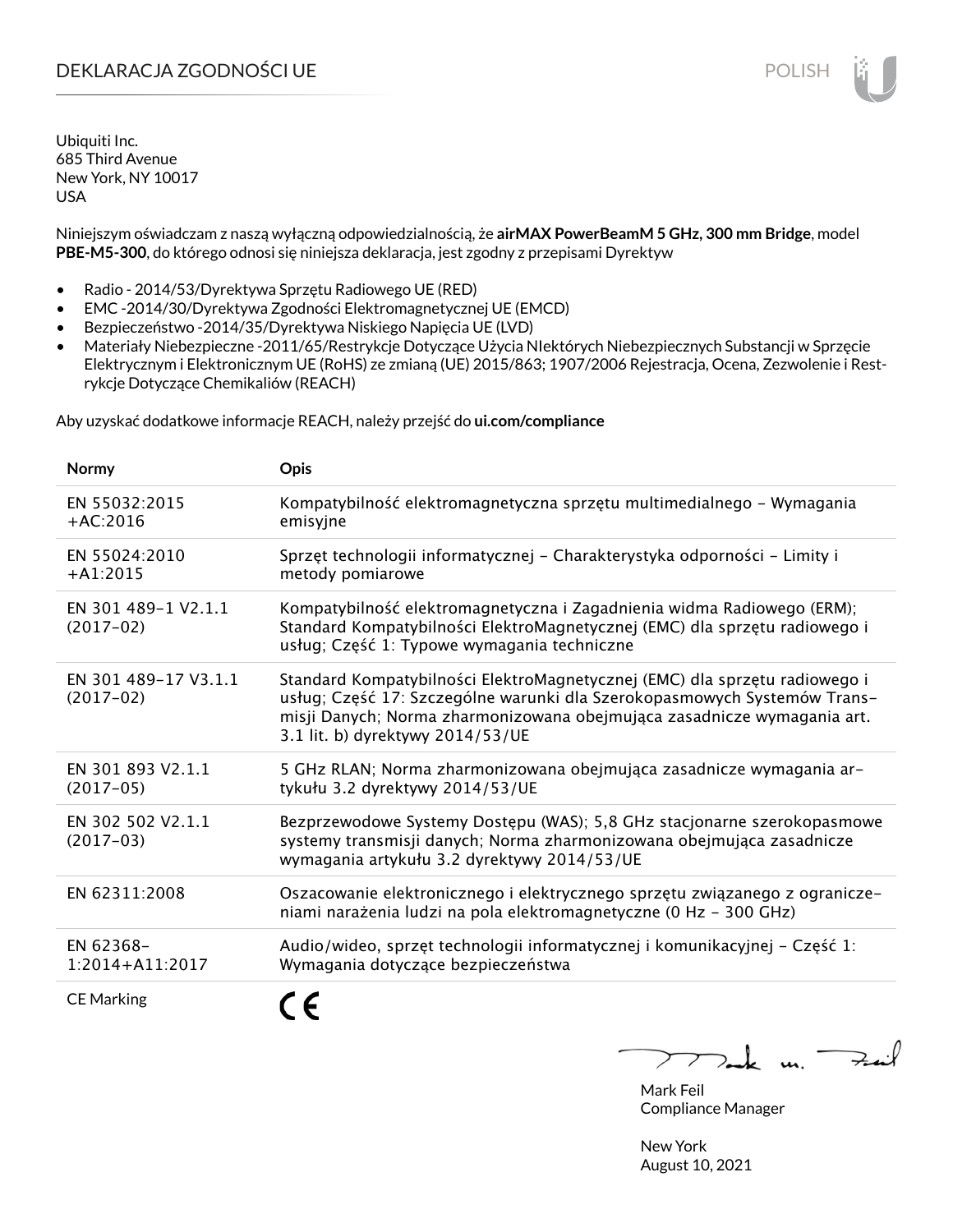## DEKLARACJA ZGODNOŚCI UE POLISH POLISH

Ubiquiti Inc. 685 Third Avenue New York, NY 10017 USA

Niniejszym oświadczam z naszą wyłączną odpowiedzialnością, że **airMAX PowerBeamM 5 GHz, 300 mm Bridge**, model **PBE-M5-300**, do którego odnosi się niniejsza deklaracja, jest zgodny z przepisami Dyrektyw

- Radio 2014/53/Dyrektywa Sprzętu Radiowego UE (RED)
- EMC -2014/30/Dyrektywa Zgodności Elektromagnetycznej UE (EMCD)
- Bezpieczeństwo -2014/35/Dyrektywa Niskiego Napięcia UE (LVD)
- Materiały Niebezpieczne -2011/65/Restrykcje Dotyczące Użycia NIektórych Niebezpiecznych Substancji w Sprzęcie Elektrycznym i Elektronicznym UE (RoHS) ze zmianą (UE) 2015/863; 1907/2006 Rejestracja, Ocena, Zezwolenie i Restrykcje Dotyczące Chemikaliów (REACH)

Aby uzyskać dodatkowe informacje REACH, należy przejść do **ui.com/compliance**

| Normy                               | <b>Opis</b>                                                                                                                                                                                                                                                           |
|-------------------------------------|-----------------------------------------------------------------------------------------------------------------------------------------------------------------------------------------------------------------------------------------------------------------------|
| EN 55032:2015<br>$+AC:2016$         | Kompatybilność elektromagnetyczna sprzętu multimedialnego - Wymagania<br>emisyjne                                                                                                                                                                                     |
| EN 55024:2010<br>$+A1:2015$         | Sprzęt technologii informatycznej - Charakterystyka odporności - Limity i<br>metody pomiarowe                                                                                                                                                                         |
| EN 301 489-1 V2.1.1<br>$(2017-02)$  | Kompatybilność elektromagnetyczna i Zagadnienia widma Radiowego (ERM);<br>Standard Kompatybilności ElektroMagnetycznej (EMC) dla sprzętu radiowego i<br>usług; Część 1: Typowe wymagania techniczne                                                                   |
| EN 301 489-17 V3.1.1<br>$(2017-02)$ | Standard Kompatybilności ElektroMagnetycznej (EMC) dla sprzętu radiowego i<br>usług; Część 17: Szczególne warunki dla Szerokopasmowych Systemów Trans-<br>misji Danych; Norma zharmonizowana obejmująca zasadnicze wymagania art.<br>3.1 lit. b) dyrektywy 2014/53/UE |
| EN 301 893 V2.1.1<br>$(2017-05)$    | 5 GHz RLAN; Norma zharmonizowana obejmująca zasadnicze wymagania ar-<br>tykułu 3.2 dyrektywy 2014/53/UE                                                                                                                                                               |
| EN 302 502 V2.1.1<br>$(2017-03)$    | Bezprzewodowe Systemy Dostępu (WAS); 5,8 GHz stacjonarne szerokopasmowe<br>systemy transmisji danych; Norma zharmonizowana obejmująca zasadnicze<br>wymagania artykułu 3.2 dyrektywy 2014/53/UE                                                                       |
| EN 62311:2008                       | Oszacowanie elektronicznego i elektrycznego sprzętu związanego z ogranicze-<br>niami narażenia ludzi na pola elektromagnetyczne (0 Hz - 300 GHz)                                                                                                                      |
| EN 62368-<br>$1:2014 + A11:2017$    | Audio/wideo, sprzęt technologii informatycznej i komunikacyjnej – Część 1:<br>Wymagania dotyczące bezpieczeństwa                                                                                                                                                      |
| <b>CE Marking</b>                   |                                                                                                                                                                                                                                                                       |

 $\mu$ . Fail

Mark Feil Compliance Manager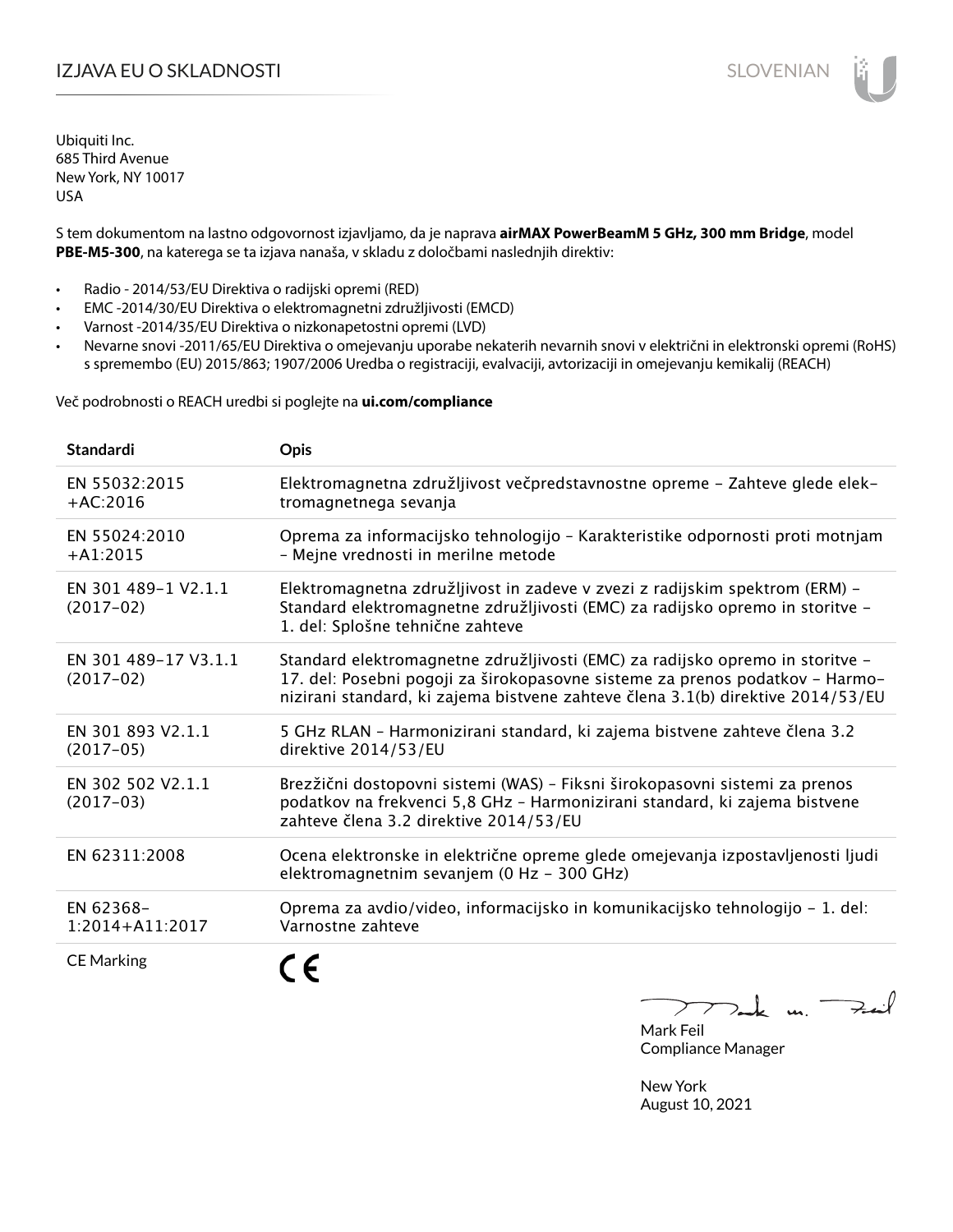## I**ZJAVA EU O SKLADNOSTI** SLOVENIAN

Ubiquiti Inc. 685 Third Avenue New York, NY 10017 USA

S tem dokumentom na lastno odgovornost izjavljamo, da je naprava **airMAX PowerBeamM 5 GHz, 300 mm Bridge**, model **PBE-M5-300**, na katerega se ta izjava nanaša, v skladu z določbami naslednjih direktiv:

- Radio 2014/53/EU Direktiva o radijski opremi (RED)
- EMC -2014/30/EU Direktiva o elektromagnetni združljivosti (EMCD)
- Varnost -2014/35/EU Direktiva o nizkonapetostni opremi (LVD)
- Nevarne snovi -2011/65/EU Direktiva o omejevanju uporabe nekaterih nevarnih snovi v električni in elektronski opremi (RoHS) s spremembo (EU) 2015/863; 1907/2006 Uredba o registraciji, evalvaciji, avtorizaciji in omejevanju kemikalij (REACH)

Več podrobnosti o REACH uredbi si poglejte na **ui.com/compliance**

| <b>Standardi</b>                    | <b>Opis</b>                                                                                                                                                                                                                                      |
|-------------------------------------|--------------------------------------------------------------------------------------------------------------------------------------------------------------------------------------------------------------------------------------------------|
| EN 55032:2015<br>$+AC:2016$         | Elektromagnetna združljivost večpredstavnostne opreme - Zahteve glede elek-<br>tromagnetnega sevanja                                                                                                                                             |
| EN 55024:2010<br>$+A1:2015$         | Oprema za informacijsko tehnologijo - Karakteristike odpornosti proti motnjam<br>- Mejne vrednosti in merilne metode                                                                                                                             |
| EN 301 489-1 V2.1.1<br>$(2017-02)$  | Elektromagnetna združljivost in zadeve v zvezi z radijskim spektrom (ERM) -<br>Standard elektromagnetne združljivosti (EMC) za radijsko opremo in storitve -<br>1. del: Splošne tehnične zahteve                                                 |
| EN 301 489-17 V3.1.1<br>$(2017-02)$ | Standard elektromagnetne združljivosti (EMC) za radijsko opremo in storitve -<br>17. del: Posebni pogoji za širokopasovne sisteme za prenos podatkov - Harmo-<br>nizirani standard, ki zajema bistvene zahteve člena 3.1(b) direktive 2014/53/EU |
| EN 301 893 V2.1.1<br>$(2017-05)$    | 5 GHz RLAN - Harmonizirani standard, ki zajema bistvene zahteve člena 3.2<br>direktive 2014/53/EU                                                                                                                                                |
| EN 302 502 V2.1.1<br>$(2017-03)$    | Brezžični dostopovni sistemi (WAS) - Fiksni širokopasovni sistemi za prenos<br>podatkov na frekvenci 5,8 GHz - Harmonizirani standard, ki zajema bistvene<br>zahteve člena 3.2 direktive 2014/53/EU                                              |
| EN 62311:2008                       | Ocena elektronske in električne opreme glede omejevanja izpostavljenosti ljudi<br>elektromagnetnim sevanjem (0 Hz - 300 GHz)                                                                                                                     |
| EN 62368-<br>$1:2014 + A11:2017$    | Oprema za avdio/video, informacijsko in komunikacijsko tehnologijo - 1. del:<br>Varnostne zahteve                                                                                                                                                |
| <b>CE Marking</b>                   |                                                                                                                                                                                                                                                  |

 $k$  m  $\rightarrow$  $\sum_{i=1}^{n}$ 

Mark Feil Compliance Manager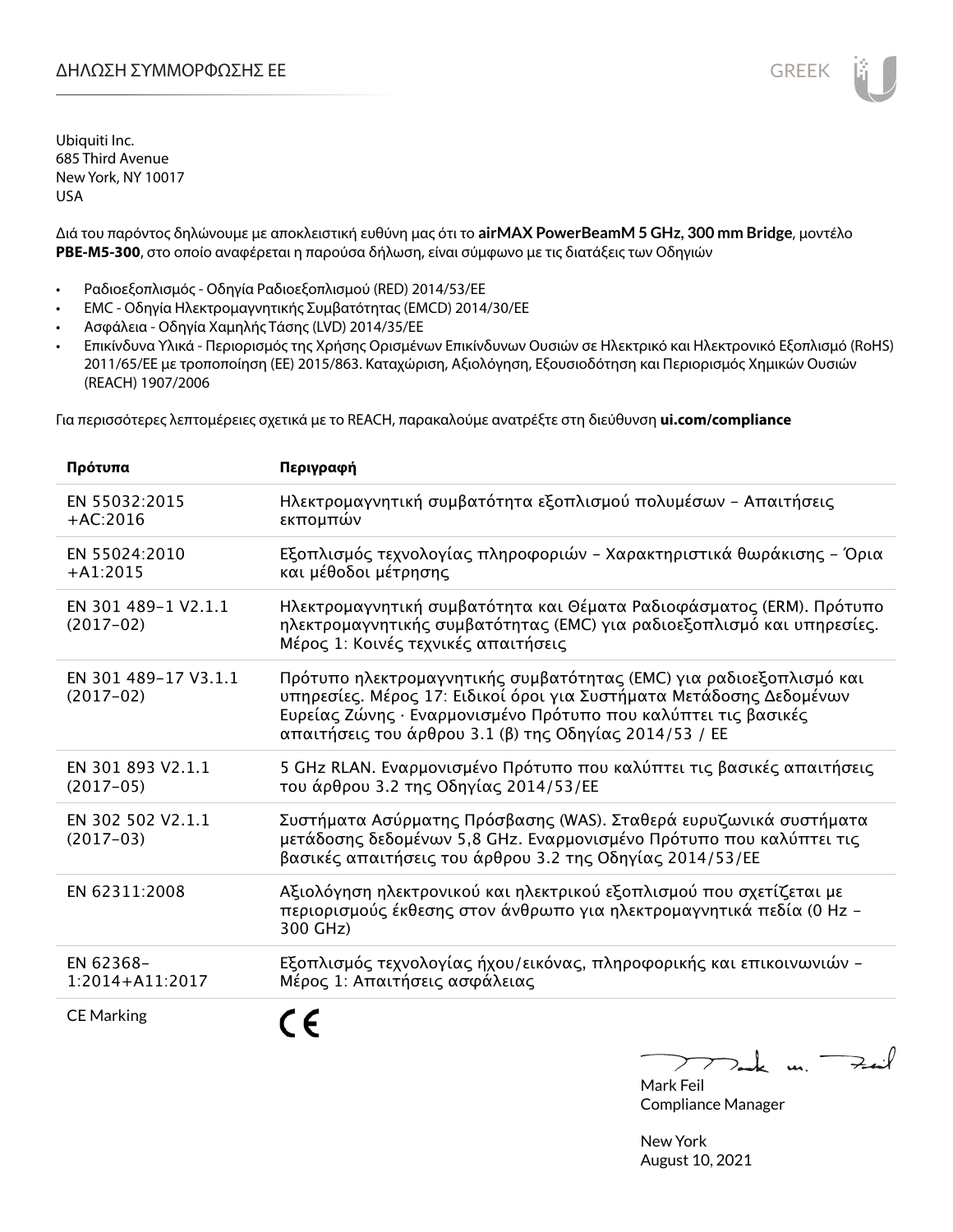Διά του παρόντος δηλώνουμε με αποκλειστική ευθύνη μας ότι το **airMAX PowerBeamM 5 GHz, 300 mm Bridge**, μοντέλο **PBE-M5-300**, στο οποίο αναφέρεται η παρούσα δήλωση, είναι σύμφωνο με τις διατάξεις των Οδηγιών

- Ραδιοεξοπλισμός Οδηγία Ραδιοεξοπλισμού (RED) 2014/53/ΕΕ
- EMC Οδηγία Ηλεκτρομαγνητικής Συμβατότητας (EMCD) 2014/30/ΕΕ
- Ασφάλεια Οδηγία Χαμηλής Τάσης (LVD) 2014/35/ΕΕ
- Επικίνδυνα Υλικά Περιορισμός της Χρήσης Ορισμένων Επικίνδυνων Ουσιών σε Ηλεκτρικό και Ηλεκτρονικό Εξοπλισμό (RoHS) 2011/65/ΕΕ με τροποποίηση (ΕΕ) 2015/863. Καταχώριση, Αξιολόγηση, Εξουσιοδότηση και Περιορισμός Χημικών Ουσιών (REACH) 1907/2006

Για περισσότερες λεπτομέρειες σχετικά με το REACH, παρακαλούμε ανατρέξτε στη διεύθυνση **ui.com/compliance**

| Πρότυπα                             | Περιγραφή                                                                                                                                                                                                                                                              |
|-------------------------------------|------------------------------------------------------------------------------------------------------------------------------------------------------------------------------------------------------------------------------------------------------------------------|
| EN 55032:2015<br>$+AC:2016$         | Ηλεκτρομαγνητική συμβατότητα εξοπλισμού πολυμέσων - Απαιτήσεις<br>εκπομπών                                                                                                                                                                                             |
| EN 55024:2010<br>$+A1:2015$         | Εξοπλισμός τεχνολογίας πληροφοριών - Χαρακτηριστικά θωράκισης - Όρια<br>και μέθοδοι μέτρησης                                                                                                                                                                           |
| EN 301 489-1 V2.1.1<br>$(2017-02)$  | Ηλεκτρομαγνητική συμβατότητα και Θέματα Ραδιοφάσματος (ERM). Πρότυπο<br>ηλεκτρομαγνητικής συμβατότητας (ΕΜC) για ραδιοεξοπλισμό και υπηρεσίες.<br>Μέρος 1: Κοινές τεχνικές απαιτήσεις                                                                                  |
| EN 301 489-17 V3.1.1<br>$(2017-02)$ | Πρότυπο ηλεκτρομαγνητικής συμβατότητας (ΕΜC) για ραδιοεξοπλισμό και<br>υπηρεσίες. Μέρος 17: Ειδικοί όροι για Συστήματα Μετάδοσης Δεδομένων<br>Ευρείας Ζώνης · Εναρμονισμένο Πρότυπο που καλύπτει τις βασικές<br>απαιτήσεις του άρθρου 3.1 (β) της Οδηγίας 2014/53 / ΕΕ |
| EN 301 893 V2.1.1<br>$(2017-05)$    | 5 GHz RLAN. Εναρμονισμένο Πρότυπο που καλύπτει τις βασικές απαιτήσεις<br>του άρθρου 3.2 της Οδηγίας 2014/53/ΕΕ                                                                                                                                                         |
| EN 302 502 V2.1.1<br>$(2017-03)$    | Συστήματα Ασύρματης Πρόσβασης (WAS). Σταθερά ευρυζωνικά συστήματα<br>μετάδοσης δεδομένων 5,8 GHz. Εναρμονισμένο Πρότυπο που καλύπτει τις<br>βασικές απαιτήσεις του άρθρου 3.2 της Οδηγίας 2014/53/ΕΕ                                                                   |
| EN 62311:2008                       | Αξιολόγηση ηλεκτρονικού και ηλεκτρικού εξοπλισμού που σχετίζεται με<br>περιορισμούς έκθεσης στον άνθρωπο για ηλεκτρομαγνητικά πεδία (0 Hz –<br>300 GHz)                                                                                                                |
| EN 62368-<br>$1:2014 + A11:2017$    | Εξοπλισμός τεχνολογίας ήχου/εικόνας, πληροφορικής και επικοινωνιών -<br>Μέρος 1: Απαιτήσεις ασφάλειας                                                                                                                                                                  |
| <b>CE Marking</b>                   |                                                                                                                                                                                                                                                                        |

Tak un Fail  $\sum$ 

Mark Feil Compliance Manager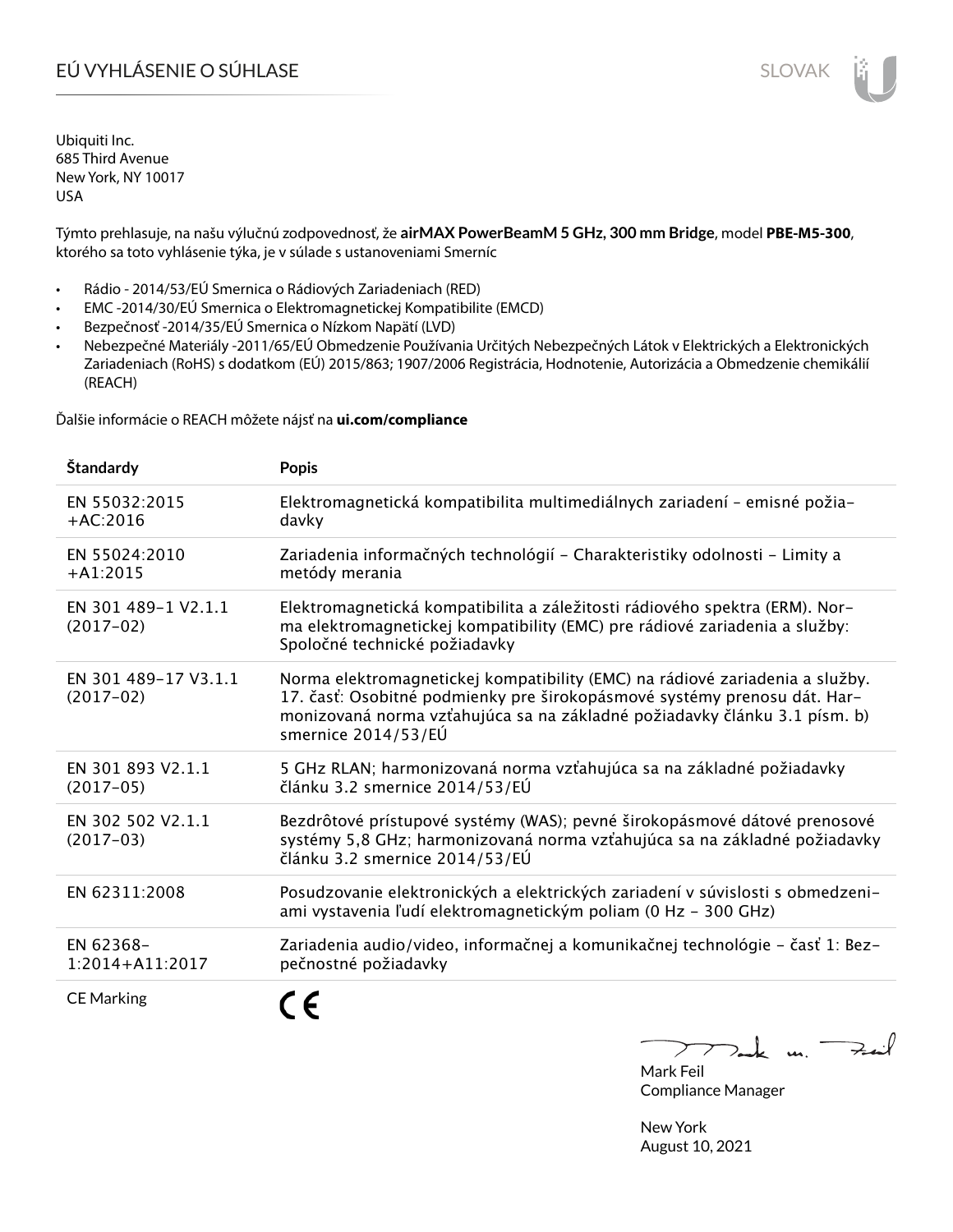# EÚ VYHLÁSENIE O SÚHLASE SLOVAK SLOVAK

Ubiquiti Inc. 685 Third Avenue New York, NY 10017 USA

Týmto prehlasuje, na našu výlučnú zodpovednosť, že **airMAX PowerBeamM 5 GHz, 300 mm Bridge**, model **PBE-M5-300**, ktorého sa toto vyhlásenie týka, je v súlade s ustanoveniami Smerníc

- Rádio 2014/53/EÚ Smernica o Rádiových Zariadeniach (RED)
- EMC -2014/30/EÚ Smernica o Elektromagnetickej Kompatibilite (EMCD)
- Bezpečnosť -2014/35/EÚ Smernica o Nízkom Napätí (LVD)
- Nebezpečné Materiály -2011/65/EÚ Obmedzenie Používania Určitých Nebezpečných Látok v Elektrických a Elektronických Zariadeniach (RoHS) s dodatkom (EÚ) 2015/863; 1907/2006 Registrácia, Hodnotenie, Autorizácia a Obmedzenie chemikálií (REACH)

Ďalšie informácie o REACH môžete nájsť na **ui.com/compliance**

| Štandardy                           | <b>Popis</b>                                                                                                                                                                                                                                                 |
|-------------------------------------|--------------------------------------------------------------------------------------------------------------------------------------------------------------------------------------------------------------------------------------------------------------|
| EN 55032:2015<br>$+AC:2016$         | Elektromagnetická kompatibilita multimediálnych zariadení - emisné požia-<br>davky                                                                                                                                                                           |
| EN 55024:2010<br>$+A1:2015$         | Zariadenia informačných technológií - Charakteristiky odolnosti - Limity a<br>metódy merania                                                                                                                                                                 |
| EN 301 489-1 V2.1.1<br>$(2017-02)$  | Elektromagnetická kompatibilita a záležitosti rádiového spektra (ERM). Nor-<br>ma elektromagnetickej kompatibility (EMC) pre rádiové zariadenia a služby:<br>Spoločné technické požiadavky                                                                   |
| EN 301 489-17 V3.1.1<br>$(2017-02)$ | Norma elektromagnetickej kompatibility (EMC) na rádiové zariadenia a služby.<br>17. časť: Osobitné podmienky pre širokopásmové systémy prenosu dát. Har-<br>monizovaná norma vzťahujúca sa na základné požiadavky článku 3.1 písm. b)<br>smernice 2014/53/EÚ |
| EN 301 893 V2.1.1<br>$(2017-05)$    | 5 GHz RLAN; harmonizovaná norma vzťahujúca sa na základné požiadavky<br>článku 3.2 smernice 2014/53/EÚ                                                                                                                                                       |
| EN 302 502 V2.1.1<br>$(2017-03)$    | Bezdrôtové prístupové systémy (WAS); pevné širokopásmové dátové prenosové<br>systémy 5,8 GHz; harmonizovaná norma vzťahujúca sa na základné požiadavky<br>článku 3.2 smernice 2014/53/EÚ                                                                     |
| EN 62311:2008                       | Posudzovanie elektronických a elektrických zariadení v súvislosti s obmedzeni-<br>ami vystavenia ľudí elektromagnetickým poliam (0 Hz - 300 GHz)                                                                                                             |
| EN 62368-<br>$1:2014 + A11:2017$    | Zariadenia audio/video, informačnej a komunikačnej technológie - časť 1: Bez-<br>pečnostné požiadavky                                                                                                                                                        |
| <b>CE Marking</b>                   |                                                                                                                                                                                                                                                              |

 $k$  un  $\rightarrow$  $\triangleright$ Mark Feil

Compliance Manager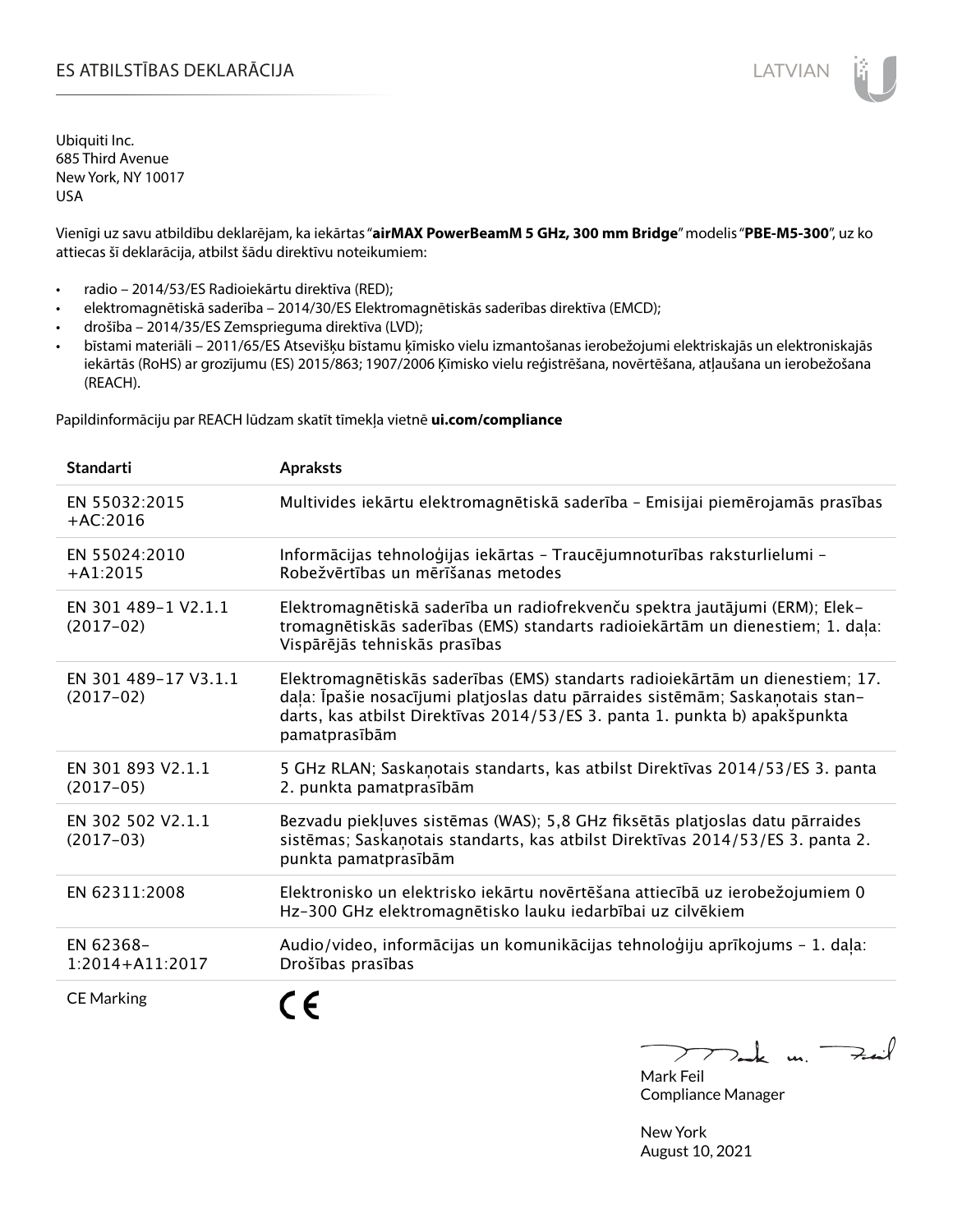Vienīgi uz savu atbildību deklarējam, ka iekārtas "**airMAX PowerBeamM 5 GHz, 300 mm Bridge**" modelis "**PBE-M5-300**", uz ko attiecas šī deklarācija, atbilst šādu direktīvu noteikumiem:

- radio 2014/53/ES Radioiekārtu direktīva (RED);
- elektromagnētiskā saderība 2014/30/ES Elektromagnētiskās saderības direktīva (EMCD);
- drošība 2014/35/ES Zemsprieguma direktīva (LVD);
- bīstami materiāli 2011/65/ES Atsevišķu bīstamu ķīmisko vielu izmantošanas ierobežojumi elektriskajās un elektroniskajās iekārtās (RoHS) ar grozījumu (ES) 2015/863; 1907/2006 Ķīmisko vielu reģistrēšana, novērtēšana, atļaušana un ierobežošana (REACH).

Papildinformāciju par REACH lūdzam skatīt tīmekļa vietnē **ui.com/compliance**

| <b>Standarti</b>                    | <b>Apraksts</b>                                                                                                                                                                                                                                               |
|-------------------------------------|---------------------------------------------------------------------------------------------------------------------------------------------------------------------------------------------------------------------------------------------------------------|
| EN 55032:2015<br>$+AC:2016$         | Multivides iekārtu elektromagnētiskā saderība - Emisijai piemērojamās prasības                                                                                                                                                                                |
| EN 55024:2010<br>$+A1:2015$         | Informācijas tehnoloģijas iekārtas - Traucējumnoturības raksturlielumi -<br>Robežvērtības un mērīšanas metodes                                                                                                                                                |
| EN 301 489-1 V2.1.1<br>$(2017-02)$  | Elektromagnētiskā saderība un radiofrekvenču spektra jautājumi (ERM); Elek-<br>tromagnētiskās saderības (EMS) standarts radioiekārtām un dienestiem; 1. daļa:<br>Vispārējās tehniskās prasības                                                                |
| EN 301 489-17 V3.1.1<br>$(2017-02)$ | Elektromagnētiskās saderības (EMS) standarts radioiekārtām un dienestiem; 17.<br>daļa: Īpašie nosacījumi platjoslas datu pārraides sistēmām; Saskaņotais stan-<br>darts, kas atbilst Direktīvas 2014/53/ES 3. panta 1. punkta b) apakšpunkta<br>pamatprasībām |
| EN 301 893 V2.1.1<br>$(2017-05)$    | 5 GHz RLAN; Saskanotais standarts, kas atbilst Direktīvas 2014/53/ES 3. panta<br>2. punkta pamatprasībām                                                                                                                                                      |
| EN 302 502 V2.1.1<br>$(2017-03)$    | Bezvadu piekļuves sistēmas (WAS); 5,8 GHz fiksētās platjoslas datu pārraides<br>sistēmas; Saskaņotais standarts, kas atbilst Direktīvas 2014/53/ES 3. panta 2.<br>punkta pamatprasībām                                                                        |
| EN 62311:2008                       | Elektronisko un elektrisko iekārtu novērtēšana attiecībā uz ierobežojumiem 0<br>Hz-300 GHz elektromagnētisko lauku iedarbībai uz cilvēkiem                                                                                                                    |
| EN 62368-<br>$1:2014 + A11:2017$    | Audio/video, informācijas un komunikācijas tehnoloģiju aprīkojums - 1. daļa:<br>Drošības prasības                                                                                                                                                             |
| <b>CE Marking</b>                   |                                                                                                                                                                                                                                                               |

m. Fail Mark Feil

Compliance Manager